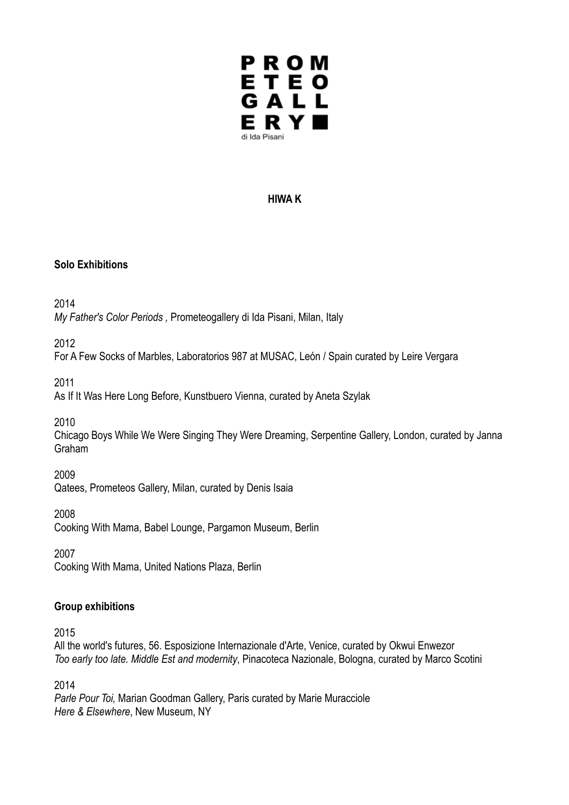

## **HIWA K**

### **Solo Exhibitions**

2014

*My Father's Color Periods ,* Prometeogallery di Ida Pisani, Milan, Italy

2012

For A Few Socks of Marbles, Laboratorios 987 at MUSAC, León / Spain curated by Leire Vergara

2011

As If It Was Here Long Before, Kunstbuero Vienna, curated by Aneta Szylak

2010

Chicago Boys While We Were Singing They Were Dreaming, Serpentine Gallery, London, curated by Janna Graham

2009

Qatees, Prometeos Gallery, Milan, curated by Denis Isaia

2008

Cooking With Mama, Babel Lounge, Pargamon Museum, Berlin

2007

Cooking With Mama, United Nations Plaza, Berlin

## **Group exhibitions**

2015

All the world's futures, 56. Esposizione Internazionale d'Arte, Venice, curated by Okwui Enwezor *Too early too late. Middle Est and modernity*, Pinacoteca Nazionale, Bologna, curated by Marco Scotini

2014

*Parle Pour Toi,* Marian Goodman Gallery, Paris curated by Marie Muracciole *Here & Elsewhere*, New Museum, NY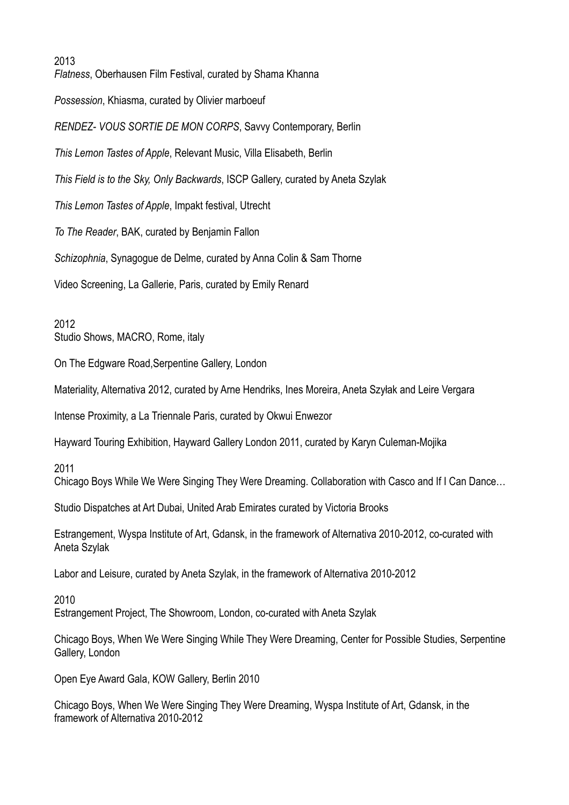2013

*Flatness*, Oberhausen Film Festival, curated by Shama Khanna *Possession*, Khiasma, curated by Olivier marboeuf *RENDEZ- VOUS SORTIE DE MON CORPS*, Savvy Contemporary, Berlin *This Lemon Tastes of Apple*, Relevant Music, Villa Elisabeth, Berlin *This Field is to the Sky, Only Backwards*, ISCP Gallery, curated by Aneta Szylak *This Lemon Tastes of Apple*, Impakt festival, Utrecht *To The Reader*, BAK, curated by Benjamin Fallon *Schizophnia*, Synagogue de Delme, curated by Anna Colin & Sam Thorne Video Screening, La Gallerie, Paris, curated by Emily Renard

2012 Studio Shows, MACRO, Rome, italy

On The Edgware Road,Serpentine Gallery, London

Materiality, Alternativa 2012, curated by Arne Hendriks, Ines Moreira, Aneta Szyłak and Leire Vergara

Intense Proximity, a La Triennale Paris, curated by Okwui Enwezor

Hayward Touring Exhibition, Hayward Gallery London 2011, curated by Karyn Culeman-Mojika

2011

Chicago Boys While We Were Singing They Were Dreaming. Collaboration with Casco and If I Can Dance…

Studio Dispatches at Art Dubai, United Arab Emirates curated by Victoria Brooks

Estrangement, Wyspa Institute of Art, Gdansk, in the framework of Alternativa 2010-2012, co-curated with Aneta Szylak

Labor and Leisure, curated by Aneta Szylak, in the framework of Alternativa 2010-2012

2010 Estrangement Project, The Showroom, London, co-curated with Aneta Szylak

Chicago Boys, When We Were Singing While They Were Dreaming, Center for Possible Studies, Serpentine Gallery, London

Open Eye Award Gala, KOW Gallery, Berlin 2010

Chicago Boys, When We Were Singing They Were Dreaming, Wyspa Institute of Art, Gdansk, in the framework of Alternativa 2010-2012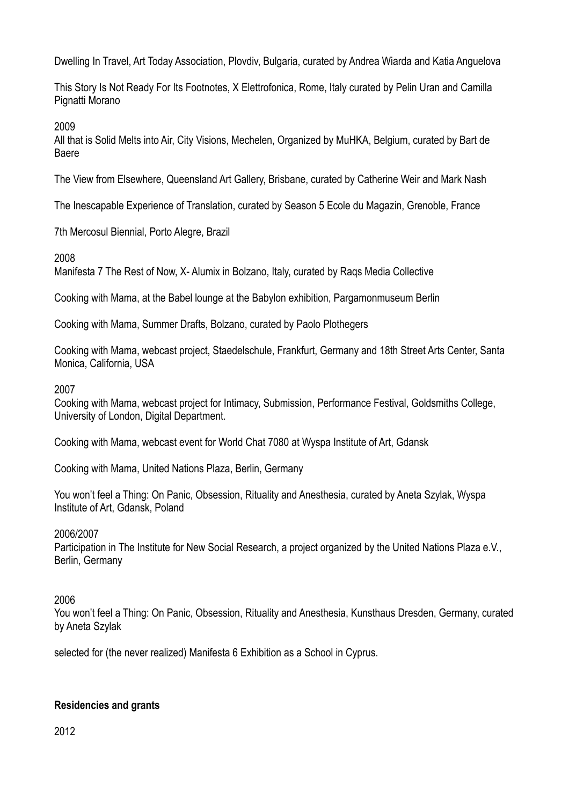Dwelling In Travel, Art Today Association, Plovdiv, Bulgaria, curated by Andrea Wiarda and Katia Anguelova

This Story Is Not Ready For Its Footnotes, X Elettrofonica, Rome, Italy curated by Pelin Uran and Camilla Pignatti Morano

2009

All that is Solid Melts into Air, City Visions, Mechelen, Organized by MuHKA, Belgium, curated by Bart de Baere

The View from Elsewhere, Queensland Art Gallery, Brisbane, curated by Catherine Weir and Mark Nash

The Inescapable Experience of Translation, curated by Season 5 Ecole du Magazin, Grenoble, France

7th Mercosul Biennial, Porto Alegre, Brazil

2008

Manifesta 7 The Rest of Now, X- Alumix in Bolzano, Italy, curated by Raqs Media Collective

Cooking with Mama, at the Babel lounge at the Babylon exhibition, Pargamonmuseum Berlin

Cooking with Mama, Summer Drafts, Bolzano, curated by Paolo Plothegers

Cooking with Mama, webcast project, Staedelschule, Frankfurt, Germany and 18th Street Arts Center, Santa Monica, California, USA

2007

Cooking with Mama, webcast project for Intimacy, Submission, Performance Festival, Goldsmiths College, University of London, Digital Department.

Cooking with Mama, webcast event for World Chat 7080 at Wyspa Institute of Art, Gdansk

Cooking with Mama, United Nations Plaza, Berlin, Germany

You won't feel a Thing: On Panic, Obsession, Rituality and Anesthesia, curated by Aneta Szylak, Wyspa Institute of Art, Gdansk, Poland

2006/2007

Participation in The Institute for New Social Research, a project organized by the United Nations Plaza e.V., Berlin, Germany

2006

You won't feel a Thing: On Panic, Obsession, Rituality and Anesthesia, Kunsthaus Dresden, Germany, curated by Aneta Szylak

selected for (the never realized) Manifesta 6 Exhibition as a School in Cyprus.

## **Residencies and grants**

2012